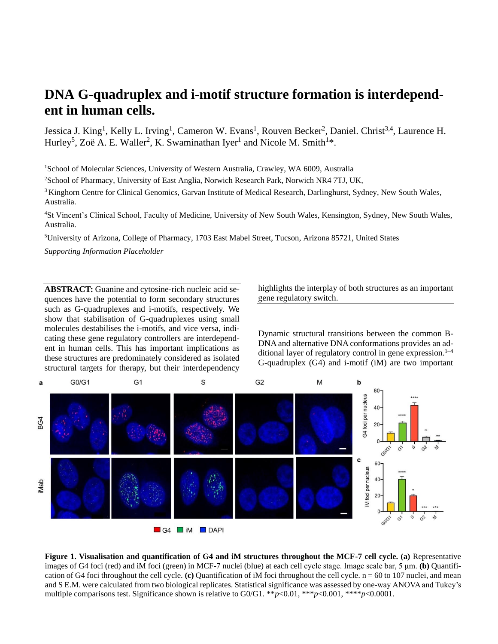# **DNA G-quadruplex and i-motif structure formation is interdependent in human cells.**

Jessica J. King<sup>1</sup>, Kelly L. Irving<sup>1</sup>, Cameron W. Evans<sup>1</sup>, Rouven Becker<sup>2</sup>, Daniel. Christ<sup>3,4</sup>, Laurence H. Hurley<sup>5</sup>, Zoë A. E. Waller<sup>2</sup>, K. Swaminathan Iyer<sup>1</sup> and Nicole M. Smith<sup>1\*</sup>.

<sup>1</sup>School of Molecular Sciences, University of Western Australia, Crawley, WA 6009, Australia

<sup>2</sup>School of Pharmacy, University of East Anglia, Norwich Research Park, Norwich NR4 7TJ, UK,

<sup>3</sup> Kinghorn Centre for Clinical Genomics, Garvan Institute of Medical Research, Darlinghurst, Sydney, New South Wales, Australia.

<sup>4</sup>St Vincent's Clinical School, Faculty of Medicine, University of New South Wales, Kensington, Sydney, New South Wales, Australia.

<sup>5</sup>University of Arizona, College of Pharmacy, 1703 East Mabel Street, Tucson, Arizona 85721, United States

*Supporting Information Placeholder*

**ABSTRACT:** Guanine and cytosine-rich nucleic acid sequences have the potential to form secondary structures such as G-quadruplexes and i-motifs, respectively. We show that stabilisation of G-quadruplexes using small molecules destabilises the i-motifs, and vice versa, indicating these gene regulatory controllers are interdependent in human cells. This has important implications as these structures are predominately considered as isolated structural targets for therapy, but their interdependency

highlights the interplay of both structures as an important gene regulatory switch.

Dynamic structural transitions between the common B-DNA and alternative DNA conformations provides an additional layer of regulatory control in gene expression. 1–4 G-quadruplex (G4) and i-motif (iM) are two important



**Figure 1. Visualisation and quantification of G4 and iM structures throughout the MCF-7 cell cycle. (a)** Representative images of G4 foci (red) and iM foci (green) in MCF-7 nuclei (blue) at each cell cycle stage. Image scale bar, 5 μm. **(b)** Quantification of G4 foci throughout the cell cycle. **(c)** Quantification of iM foci throughout the cell cycle.  $n = 60$  to 107 nuclei, and mean and S E.M. were calculated from two biological replicates. Statistical significance was assessed by one-way ANOVA and Tukey's multiple comparisons test. Significance shown is relative to G0/G1. \*\**p*<0.01, \*\*\**p*<0.001, \*\*\*\**p*<0.0001.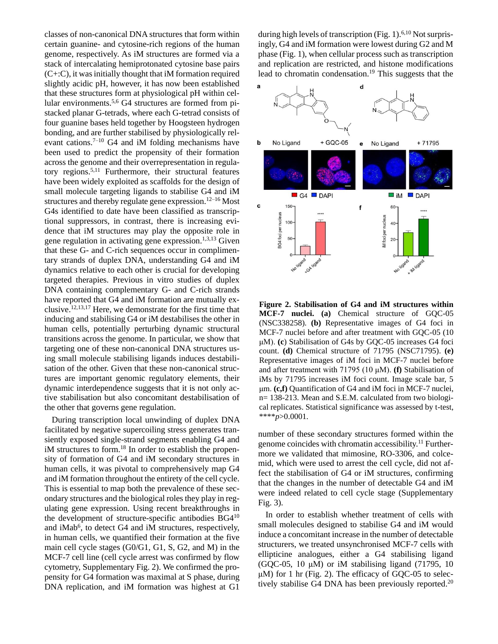classes of non-canonical DNA structures that form within certain guanine- and cytosine-rich regions of the human genome, respectively. As iM structures are formed via a stack of intercalating hemiprotonated cytosine base pairs (C+:C), it was initially thought that iM formation required slightly acidic pH, however, it has now been established that these structures form at physiological pH within cellular environments. 5,6 G4 structures are formed from pistacked planar G-tetrads, where each G-tetrad consists of four guanine bases held together by Hoogsteen hydrogen bonding, and are further stabilised by physiologically relevant cations. $7-10$  G4 and iM folding mechanisms have been used to predict the propensity of their formation across the genome and their overrepresentation in regulatory regions. 5,11 Furthermore, their structural features have been widely exploited as scaffolds for the design of small molecule targeting ligands to stabilise G4 and iM structures and thereby regulate gene expression. 12–16 Most G4s identified to date have been classified as transcriptional suppressors, in contrast, there is increasing evidence that iM structures may play the opposite role in gene regulation in activating gene expression.<sup>1,3,13</sup> Given that these G- and C-rich sequences occur in complimentary strands of duplex DNA, understanding G4 and iM dynamics relative to each other is crucial for developing targeted therapies. Previous in vitro studies of duplex DNA containing complementary G- and C-rich strands have reported that G4 and iM formation are mutually exclusive. 12,13,17 Here, we demonstrate for the first time that inducing and stabilising G4 or iM destabilises the other in human cells, potentially perturbing dynamic structural transitions across the genome. In particular, we show that targeting one of these non-canonical DNA structures using small molecule stabilising ligands induces destabilisation of the other. Given that these non-canonical structures are important genomic regulatory elements, their dynamic interdependence suggests that it is not only active stabilisation but also concomitant destabilisation of the other that governs gene regulation.

During transcription local unwinding of duplex DNA facilitated by negative supercoiling stress generates transiently exposed single-strand segments enabling G4 and iM structures to form.<sup>18</sup> In order to establish the propensity of formation of G4 and iM secondary structures in human cells, it was pivotal to comprehensively map G4 and iM formation throughout the entirety of the cell cycle. This is essential to map both the prevalence of these secondary structures and the biological roles they play in regulating gene expression. Using recent breakthroughs in the development of structure-specific antibodies BG4<sup>10</sup> and iMab<sup>6</sup>, to detect G4 and iM structures, respectively, in human cells, we quantified their formation at the five main cell cycle stages (G0/G1, G1, S, G2, and M) in the MCF-7 cell line (cell cycle arrest was confirmed by flow cytometry, Supplementary Fig. 2). We confirmed the propensity for G4 formation was maximal at S phase, during DNA replication, and iM formation was highest at G1

during high levels of transcription (Fig. 1).<sup>6,10</sup> Not surprisingly, G4 and iM formation were lowest during G2 and M phase (Fig. 1), when cellular process such as transcription and replication are restricted, and histone modifications lead to chromatin condensation. <sup>19</sup> This suggests that the



**Figure 2. Stabilisation of G4 and iM structures within MCF-7 nuclei. (a)** Chemical structure of GQC-05 (NSC338258). **(b)** Representative images of G4 foci in MCF-7 nuclei before and after treatment with GOC-05 (10) μM). **(c**) Stabilisation of G4s by GQC-05 increases G4 foci count. **(d)** Chemical structure of 71795 (NSC71795). **(e)**  Representative images of iM foci in MCF-7 nuclei before and after treatment with 71795 (10 μM). **(f)** Stabilisation of iMs by 71795 increases iM foci count. Image scale bar, 5 μm. **(c,f)** Quantification of G4 and iM foci in MCF-7 nuclei, n= 138-213. Mean and S.E.M. calculated from two biological replicates. Statistical significance was assessed by t-test, \*\*\*\**p*>0.0001.

number of these secondary structures formed within the genome coincides with chromatin accessibility. <sup>11</sup> Furthermore we validated that mimosine, RO-3306, and colcemid, which were used to arrest the cell cycle, did not affect the stabilisation of G4 or iM structures, confirming that the changes in the number of detectable G4 and iM were indeed related to cell cycle stage (Supplementary Fig. 3).

In order to establish whether treatment of cells with small molecules designed to stabilise G4 and iM would induce a concomitant increase in the number of detectable structurers, we treated unsynchronised MCF-7 cells with ellipticine analogues, either a G4 stabilising ligand (GQC-05, 10  $\mu$ M) or iM stabilising ligand (71795, 10)  $\mu$ M) for 1 hr (Fig. 2). The efficacy of GQC-05 to selectively stabilise G4 DNA has been previously reported.<sup>20</sup>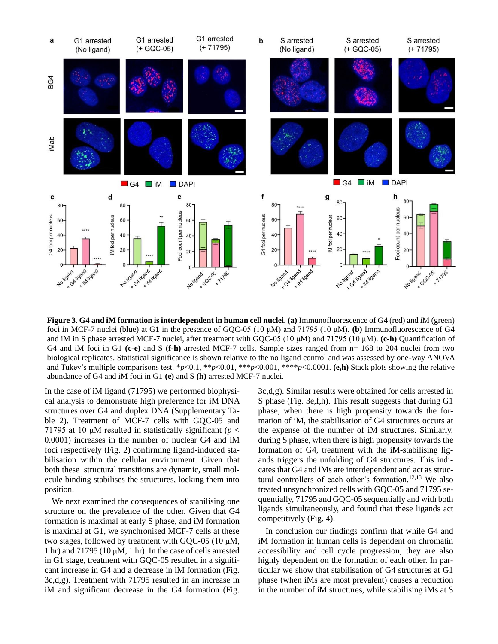

**Figure 3. G4 and iM formation is interdependent in human cell nuclei. (a)** Immunofluorescence of G4 (red) and iM (green) foci in MCF-7 nuclei (blue) at G1 in the presence of GQC-05 (10 μM) and 71795 (10 μM). **(b)** Immunofluorescence of G4 and iM in S phase arrested MCF-7 nuclei, after treatment with GQC-05 (10 μM) and 71795 (10 μM). **(c-h)** Quantification of G4 and iM foci in G1 **(c-e)** and S **(f-h)** arrested MCF-7 cells. Sample sizes ranged from n= 168 to 204 nuclei from two biological replicates. Statistical significance is shown relative to the no ligand control and was assessed by one-way ANOVA and Tukey's multiple comparisons test. \**p*<0.1, \*\**p*<0.01, \*\*\**p*<0.001, \*\*\*\**p*<0.0001. **(e,h)** Stack plots showing the relative abundance of G4 and iM foci in G1 **(e)** and S **(h)** arrested MCF-7 nuclei.

In the case of iM ligand (71795) we performed biophysical analysis to demonstrate high preference for iM DNA structures over G4 and duplex DNA (Supplementary Table 2). Treatment of MCF-7 cells with GQC-05 and 71795 at 10  $\mu$ M resulted in statistically significant ( $p <$ 0.0001) increases in the number of nuclear G4 and iM foci respectively (Fig. 2) confirming ligand-induced stabilisation within the cellular environment. Given that both these structural transitions are dynamic, small molecule binding stabilises the structures, locking them into position.

We next examined the consequences of stabilising one structure on the prevalence of the other. Given that G4 formation is maximal at early S phase, and iM formation is maximal at G1, we synchronised MCF-7 cells at these two stages, followed by treatment with GQC-05 (10 μM, 1 hr) and 71795 (10  $\mu$ M, 1 hr). In the case of cells arrested in G1 stage, treatment with GQC-05 resulted in a significant increase in G4 and a decrease in iM formation (Fig. 3c,d,g). Treatment with 71795 resulted in an increase in iM and significant decrease in the G4 formation (Fig.

3c,d,g). Similar results were obtained for cells arrested in S phase (Fig. 3e,f,h). This result suggests that during G1 phase, when there is high propensity towards the formation of iM, the stabilisation of G4 structures occurs at the expense of the number of iM structures. Similarly, during S phase, when there is high propensity towards the formation of G4, treatment with the iM-stabilising ligands triggers the unfolding of G4 structures. This indicates that G4 and iMs are interdependent and act as structural controllers of each other's formation. 12,13 We also treated unsynchronized cells with GQC-05 and 71795 sequentially, 71795 and GQC-05 sequentially and with both ligands simultaneously, and found that these ligands act competitively (Fig. 4).

In conclusion our findings confirm that while G4 and iM formation in human cells is dependent on chromatin accessibility and cell cycle progression, they are also highly dependent on the formation of each other. In particular we show that stabilisation of G4 structures at G1 phase (when iMs are most prevalent) causes a reduction in the number of iM structures, while stabilising iMs at S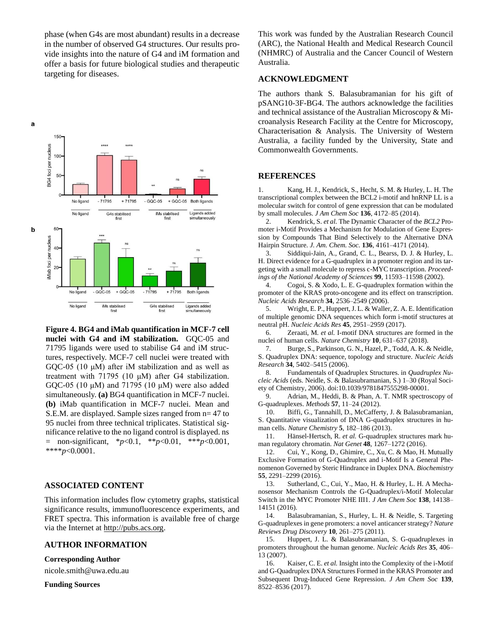phase (when G4s are most abundant) results in a decrease in the number of observed G4 structures. Our results provide insights into the nature of G4 and iM formation and offer a basis for future biological studies and therapeutic targeting for diseases.



**Figure 4. BG4 and iMab quantification in MCF-7 cell nuclei with G4 and iM stabilization.** GQC-05 and 71795 ligands were used to stabilise G4 and iM structures, respectively. MCF-7 cell nuclei were treated with GQC-05 (10 μM) after iM stabilization and as well as treatment with 71795 (10 μM) after G4 stabilization. GQC-05 (10 μM) and 71795 (10 μM) were also added simultaneously. **(a)** BG4 quantification in MCF-7 nuclei. **(b)** iMab quantification in MCF-7 nuclei. Mean and S.E.M. are displayed. Sample sizes ranged from n= 47 to 95 nuclei from three technical triplicates. Statistical significance relative to the no ligand control is displayed. ns = non-significant, \**p*<0.1, \*\**p*<0.01, \*\*\**p*<0.001, \*\*\*\**p*<0.0001.

## **ASSOCIATED CONTENT**

This information includes flow cytometry graphs, statistical significance results, immunofluorescence experiments, and FRET spectra. This information is available free of charge via the Internet at [http://pubs.acs.org.](http://pubs.acs.org/)

#### **AUTHOR INFORMATION**

**Corresponding Author**

nicole.smith@uwa.edu.au

**Funding Sources**

This work was funded by the Australian Research Council (ARC), the National Health and Medical Research Council (NHMRC) of Australia and the Cancer Council of Western Australia.

### **ACKNOWLEDGMENT**

The authors thank S. Balasubramanian for his gift of pSANG10-3F-BG4. The authors acknowledge the facilities and technical assistance of the Australian Microscopy & Microanalysis Research Facility at the Centre for Microscopy, Characterisation & Analysis. The University of Western Australia, a facility funded by the University, State and Commonwealth Governments.

#### **REFERENCES**

1. Kang, H. J., Kendrick, S., Hecht, S. M. & Hurley, L. H. The transcriptional complex between the BCL2 i-motif and hnRNP LL is a molecular switch for control of gene expression that can be modulated by small molecules. *J Am Chem Soc* **136**, 4172–85 (2014).

2. Kendrick, S. *et al.* The Dynamic Character of the *BCL2* Promoter i-Motif Provides a Mechanism for Modulation of Gene Expression by Compounds That Bind Selectively to the Alternative DNA Hairpin Structure. *J. Am. Chem. Soc.* **136**, 4161–4171 (2014).

3. Siddiqui-Jain, A., Grand, C. L., Bearss, D. J. & Hurley, L. H. Direct evidence for a G-quadruplex in a promoter region and its targeting with a small molecule to repress c-MYC transcription. *Proceedings of the National Academy of Sciences* **99**, 11593–11598 (2002).

4. Cogoi, S. & Xodo, L. E. G-quadruplex formation within the promoter of the KRAS proto-oncogene and its effect on transcription. *Nucleic Acids Research* **34**, 2536–2549 (2006).

5. Wright, E. P., Huppert, J. L. & Waller, Z. A. E. Identification of multiple genomic DNA sequences which form i-motif structures at neutral pH. *Nucleic Acids Res* **45**, 2951–2959 (2017).

6. Zeraati, M. *et al.* I-motif DNA structures are formed in the nuclei of human cells. *Nature Chemistry* **10**, 631–637 (2018).

7. Burge, S., Parkinson, G. N., Hazel, P., Todd, A. K. & Neidle, S. Quadruplex DNA: sequence, topology and structure. *Nucleic Acids Research* **34**, 5402–5415 (2006).

8. Fundamentals of Quadruplex Structures. in *Quadruplex Nucleic Acids* (eds. Neidle, S. & Balasubramanian, S.) 1–30 (Royal Society of Chemistry, 2006). doi:10.1039/9781847555298-00001.

9. Adrian, M., Heddi, B. & Phan, A. T. NMR spectroscopy of G-quadruplexes. *Methods* **57**, 11–24 (2012).

10. Biffi, G., Tannahill, D., McCafferty, J. & Balasubramanian, S. Quantitative visualization of DNA G-quadruplex structures in human cells. *Nature Chemistry* **5**, 182–186 (2013).

11. Hänsel-Hertsch, R. *et al.* G-quadruplex structures mark human regulatory chromatin. *Nat Genet* **48**, 1267–1272 (2016).

12. Cui, Y., Kong, D., Ghimire, C., Xu, C. & Mao, H. Mutually Exclusive Formation of G-Quadruplex and i-Motif Is a General Phenomenon Governed by Steric Hindrance in Duplex DNA. *Biochemistry* **55**, 2291–2299 (2016).

13. Sutherland, C., Cui, Y., Mao, H. & Hurley, L. H. A Mechanosensor Mechanism Controls the G-Quadruplex/i-Motif Molecular Switch in the MYC Promoter NHE III1. *J Am Chem Soc* **138**, 14138– 14151 (2016).

14. Balasubramanian, S., Hurley, L. H. & Neidle, S. Targeting G-quadruplexes in gene promoters: a novel anticancer strategy? *Nature Reviews Drug Discovery* **10**, 261–275 (2011).

15. Huppert, J. L. & Balasubramanian, S. G-quadruplexes in promoters throughout the human genome. *Nucleic Acids Res* **35**, 406– 13 (2007).

16. Kaiser, C. E. *et al.* Insight into the Complexity of the i-Motif and G-Quadruplex DNA Structures Formed in the KRAS Promoter and Subsequent Drug-Induced Gene Repression. *J Am Chem Soc* **139**, 8522–8536 (2017).